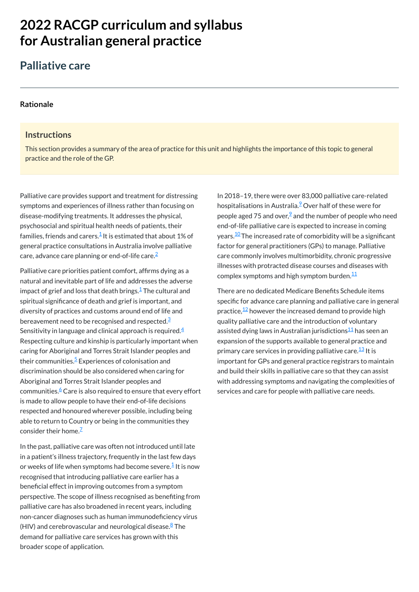# **2022 RACGP curriculum and syllabus for Australian [general practice](https://www.racgp.org.au/Curriculum-and-Syllabus/home)**

## **Palliative care**

#### **[Rationale](javascript:void(0))**

#### **Instructions**

This section provides a summary of the area of practice for this unit and highlights the importance of this topic to general practice and the role of the GP.

Palliative care priorities patient comfort, affirms dying as a natural and inevitable part of life and addresses the adverse impact of grief and loss that death brings. $^\mathsf{1}\mathsf{The}$  $^\mathsf{1}\mathsf{The}$  $^\mathsf{1}\mathsf{The}$  cultural and spiritual significance of death and grief is important, and diversity of practices and customs around end of life and bereavement need to be recognised and respected. $^{\underline{3}}$  $^{\underline{3}}$  $^{\underline{3}}$ Sensitivity in language and clinical approach is required. $\rm \frac{4}{3}$  $\rm \frac{4}{3}$  $\rm \frac{4}{3}$ Respecting culture and kinship is particularly important when caring for Aboriginal and Torres Strait Islander peoples and their communities.<sup>[5](#page-1-4)</sup> Experiences of colonisation and discrimination should be also considered when caring for Aboriginal and Torres Strait Islander peoples and communities.<sup>[6](#page-1-5)</sup> Care is also required to ensure that every effort is made to allow people to have their end-of-life decisions respected and honoured wherever possible, including being able to return to Country or being in the communities they consider their home.<sup>Z</sup>

In 2018–19, there were over 83,000 palliative care-related hospitalisations in Australia.<sup>2</sup> Over half of these were for people aged 75 and over, $\frac{9}{2}$  $\frac{9}{2}$  $\frac{9}{2}$  and the number of people who need end-of-life palliative care is expected to increase in coming years. $^{10}$  $^{10}$  $^{10}$  The increased rate of comorbidity will be a significant factor for general practitioners (GPs) to manage. Palliative care commonly involves multimorbidity, chronic progressive illnesses with protracted disease courses and diseases with complex symptoms and high symptom burden. $^{\underline{1}\underline{1}}$ 

In the past, palliative care was often not introduced until late

Palliative care provides support and treatment for distressing symptoms and experiences of illness rather than focusing on disease-modifying treatments. It addresses the physical, psychosocial and spiritual health needs of patients, their families, friends and carers. $^{\underline{1}}$  $^{\underline{1}}$  $^{\underline{1}}$  It is estimated that about 1% of general practice consultations in Australia involve palliative care, advance care planning or end-of-life care. [2](#page-1-1)

in a patient's illness trajectory, frequently in the last few days or weeks of life when symptoms had become severe. $^\mathsf{1}$  $^\mathsf{1}$  $^\mathsf{1}$  It is now recognised that introducing palliative care earlier has a beneficial effect in improving outcomes from a symptom perspective. The scope of illness recognised as benefiting from palliative care has also broadened in recent years, including non-cancer diagnoses such as human immunodeficiency virus (HIV) and cerebrovascular and neurological disease.<sup>[8](#page-1-7)</sup> The demand for palliative care services has grown with this broader scope of application.

There are no dedicated Medicare Benefits Schedule items specific for advance care planning and palliative care in general practice, $\frac{12}{2}$  $\frac{12}{2}$  $\frac{12}{2}$  however the increased demand to provide high quality palliative care and the introduction of voluntary assisted dying laws in Australian jurisdictions<sup>[11](#page-1-10)</sup> has seen an expansion of the supports available to general practice and primary care services in providing palliative care.<sup>[13](#page-1-12)</sup> It is important for GPs and general practice registrars to maintain and build their skills in palliative care so that they can assist with addressing symptoms and navigating the complexities of services and care for people with palliative care needs.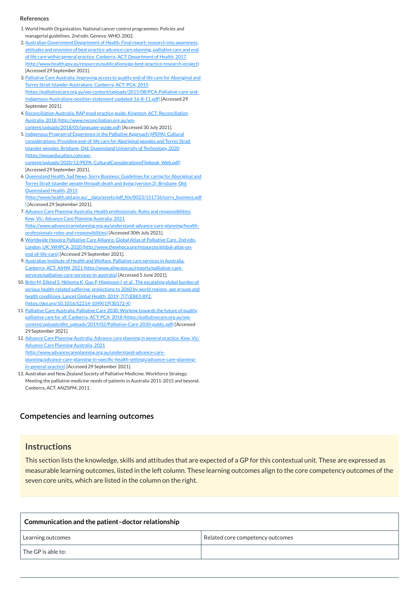#### **[Competencies and learning outcomes](javascript:void(0))**

#### **Instructions**

This section lists the knowledge, skills and attitudes that are expected of a GP for this contextual unit. These are expressed as measurable learning outcomes, listed in the left column. These learning outcomes align to the core competency outcomes of the seven core units, which are listed in the column on the right.

| Communication and the patient-doctor relationship |                                  |
|---------------------------------------------------|----------------------------------|
| Learning outcomes                                 | Related core competency outcomes |
| $\sf I$ The GP is able to:                        |                                  |

#### **References**

<span id="page-1-5"></span>6. Queensland Health. Sad News, Sorry Business: Guidelines for caring for Aboriginal and Torres Strait Islander people through death and dying (version 2). Brisbane, Qld: Queensland Health, 2015

- <span id="page-1-0"></span>1.World Health Organization. National cancer control programmes: Policies and managerial guidelines. 2nd edn. Geneva: WHO, 2002.
- <span id="page-1-1"></span>2. Australian Government Department of Health. Final report: research into awareness, attitudes and provision of best practice advance care planning, palliative care and end of life care within general practice. Canberra, ACT: Department of Health, 2017 [\(http://www.health.gov.au/resources/publications/gp-best-practice-research-project\)](http://www.health.gov.au/resources/publications/gp-best-practice-research-project) [Accessed 29 September 2021].
- <span id="page-1-2"></span>3. Palliative Care Australia. Improving access to quality end of life care for Aboriginal and Torres Strait Islander Australians. Canberra, ACT: PCA, 2015 [\(https://palliativecare.org.au/wp-content/uploads/2015/08/PCA-Palliative-care-and-](https://palliativecare.org.au/wp-content/uploads/2015/08/PCA-Palliative-care-and-Indigenous-Australians-position-statement-updated-16-8-11.pdf)Indigenous-Australians-position-statement-updated-16-8-11.pdf) [Accessed 29 September 2021].
- <span id="page-1-3"></span>4.Reconciliation Australia. RAP good practice guide. Kingston, ACT: Reconciliation Australia, 2018 (http://www.reconciliation.org.au/wp[content/uploads/2018/05/language-guide.pdf\)](http://www.reconciliation.org.au/wp-content/uploads/2018/05/language-guide.pdf) [Accessed 30 July 2021].
- <span id="page-1-4"></span>5. Indigenous Program of Experience in the Palliative Approach (IPEPA). Cultural considerations: Providing end-of-life care for Aboriginal peoples and Torres Strait Islander peoples. Brisbane, Qld: Queensland University of Technology, 2020 (https://pepaeducation.com/wp-

[content/uploads/2020/12/PEPA\\_CulturalConsiderationsFlipbook\\_Web.pdf\)](https://pepaeducation.com/wp-content/uploads/2020/12/PEPA_CulturalConsiderationsFlipbook_Web.pdf) [Accessed 29 September 2021].

[\(http://www.health.qld.gov.au/\\_\\_data/assets/pdf\\_file/0023/151736/sorry\\_business.pdf](http://www.health.qld.gov.au/__data/assets/pdf_file/0023/151736/sorry_business.pdf) ) [Accessed 29 September 2021].

- <span id="page-1-6"></span>7.Advance Care Planning Australia. Health professionals: Roles and responsibilities. Kew, Vic: Advance Care Planning Australia, 2021 [\(http://www.advancecareplanning.org.au/understand-advance-care-planning/health](http://www.advancecareplanning.org.au/understand-advance-care-planning/health-professionals-roles-and-responsibilities)professionals-roles-and-responsibilities) [Accessed 30th July 2021].
- <span id="page-1-7"></span>8.Worldwide Hospice Palliative Care Alliance. Global Atlas of Palliative Care. 2nd edn. London, UK: WHPCA, 2020 [\(http://www.thewhpca.org/resources/global-atlas-on](http://www.thewhpca.org/resources/global-atlas-on-end-of-life-care)end-of-life-care) [Accessed 29 September 2021].
- <span id="page-1-8"></span>9. Australian Institute of Health and Welfare. Palliative care services in Australia. Canberra, ACT: AIHW, 2021 [\(http://www.aihw.gov.au/reports/palliative-care](http://www.aihw.gov.au/reports/palliative-care-services/palliative-care-services-in-australia)services/palliative-care-services-in-australia) [Accessed 5 June 2021].
- <span id="page-1-9"></span>10. Brito M, Etkind S, Nkhoma K, Guo P, Higginson I, et al., The escalating global burden of serious health-related suffering: projections to 2060 by world regions, age groups and health conditions, Lancet Global Health, 2019; 7(7):E883-892. [\(https://doi.org/10.1016/S2214-109X\(19\)30172-X\)](https://doi.org/10.1016/S2214-109X(19)30172-X)
- <span id="page-1-10"></span>11. Palliative Care Australia. Palliative Care 2030: Working towards the future of quality palliative care for all. Canberra, ACT: PCA, 2018 (https://palliativecare.org.au/wp[content/uploads/dlm\\_uploads/2019/02/Palliative-Care-2030-public.pdf\)](https://palliativecare.org.au/wp-content/uploads/dlm_uploads/2019/02/Palliative-Care-2030-public.pdf) [Accessed 29 September 2021].
- <span id="page-1-11"></span>12. Advance Care Planning Australia. Advance care planning in general practice. Kew, Vic: Advance Care Planning Australia, 2021 (http://www.advancecareplanning.org.au/understand-advance-care[planning/advance-care-planning-in-specific-health-settings/advance-care-planning](http://www.advancecareplanning.org.au/understand-advance-care-planning/advance-care-planning-in-specific-health-settings/advance-care-planning-in-general-practice)in-general-practice) [Accessed 29 September 2021].
- <span id="page-1-12"></span>13. Australian and New Zealand Society of Palliative Medicine. Workforce Strategy: Meeting the palliative medicine needs of patients in Australia 2011-2015 and beyond. Canberra, ACT: ANZSPM, 2011.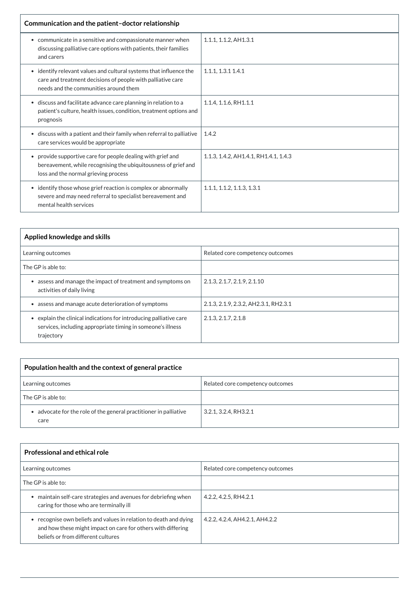| Communication and the patient-doctor relationship                                                                                                                                |                                       |  |
|----------------------------------------------------------------------------------------------------------------------------------------------------------------------------------|---------------------------------------|--|
| • communicate in a sensitive and compassionate manner when<br>discussing palliative care options with patients, their families<br>and carers                                     | $1.1.1$ , $1.1.2$ , AH $1.3.1$        |  |
| • identify relevant values and cultural systems that influence the<br>care and treatment decisions of people with palliative care<br>needs and the communities around them       | 1.1.1, 1.3.1 1.4.1                    |  |
| discuss and facilitate advance care planning in relation to a<br>$\bullet$<br>patient's culture, health issues, condition, treatment options and<br>prognosis                    | 1.1.4, 1.1.6, RH1.1.1                 |  |
| • discuss with a patient and their family when referral to palliative<br>care services would be appropriate                                                                      | 1.4.2                                 |  |
| provide supportive care for people dealing with grief and<br>$\bullet$<br>bereavement, while recognising the ubiquitousness of grief and<br>loss and the normal grieving process | 1.1.3, 1.4.2, AH1.4.1, RH1.4.1, 1.4.3 |  |
| • identify those whose grief reaction is complex or abnormally<br>severe and may need referral to specialist bereavement and<br>mental health services                           | 1.1.1, 1.1.2, 1.1.3, 1.3.1            |  |

| Applied knowledge and skills                                                                                                                               |                                       |
|------------------------------------------------------------------------------------------------------------------------------------------------------------|---------------------------------------|
| Learning outcomes                                                                                                                                          | Related core competency outcomes      |
| The GP is able to:                                                                                                                                         |                                       |
| assess and manage the impact of treatment and symptoms on<br>$\bullet$<br>activities of daily living                                                       | 2.1.3, 2.1.7, 2.1.9, 2.1.10           |
| assess and manage acute deterioration of symptoms<br>$\bullet$                                                                                             | 2.1.3, 2.1.9, 2.3.2, AH2.3.1, RH2.3.1 |
| explain the clinical indications for introducing palliative care<br>$\bullet$<br>services, including appropriate timing in someone's illness<br>trajectory | 2.1.3, 2.1.7, 2.1.8                   |

| Population health and the context of general practice                     |                                  |
|---------------------------------------------------------------------------|----------------------------------|
| Learning outcomes                                                         | Related core competency outcomes |
| The GP is able to:                                                        |                                  |
| • advocate for the role of the general practitioner in palliative<br>care | 3.2.1, 3.2.4, RH3.2.1            |

| <b>Professional and ethical role</b>                                                                                                                                  |                                  |  |
|-----------------------------------------------------------------------------------------------------------------------------------------------------------------------|----------------------------------|--|
| Learning outcomes                                                                                                                                                     | Related core competency outcomes |  |
| The GP is able to:                                                                                                                                                    |                                  |  |
| maintain self-care strategies and avenues for debriefing when<br>caring for those who are terminally ill                                                              | 4.2.2, 4.2.5, RH4.2.1            |  |
| recognise own beliefs and values in relation to death and dying<br>and how these might impact on care for others with differing<br>beliefs or from different cultures | 4.2.2, 4.2.4, AH4.2.1, AH4.2.2   |  |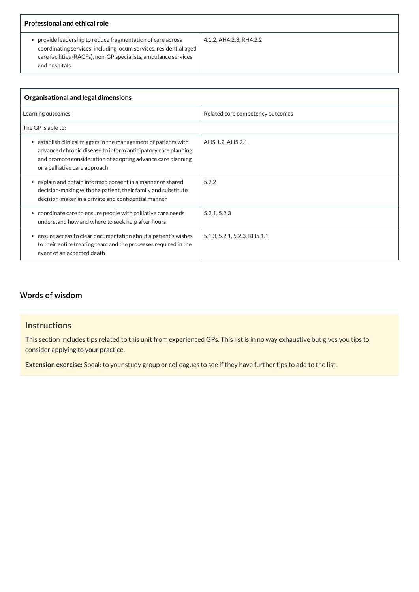| <b>Professional and ethical role</b>                                                                                                                                                                               |                         |  |
|--------------------------------------------------------------------------------------------------------------------------------------------------------------------------------------------------------------------|-------------------------|--|
| provide leadership to reduce fragmentation of care across<br>coordinating services, including locum services, residential aged<br>care facilities (RACFs), non-GP specialists, ambulance services<br>and hospitals | 4.1.2, AH4.2.3, RH4.2.2 |  |

| Organisational and legal dimensions                                                                                                                                                                                                          |                                  |  |
|----------------------------------------------------------------------------------------------------------------------------------------------------------------------------------------------------------------------------------------------|----------------------------------|--|
| Learning outcomes                                                                                                                                                                                                                            | Related core competency outcomes |  |
| The GP is able to:                                                                                                                                                                                                                           |                                  |  |
| establish clinical triggers in the management of patients with<br>$\bullet$<br>advanced chronic disease to inform anticipatory care planning<br>and promote consideration of adopting advance care planning<br>or a palliative care approach | AH5.1.2, AH5.2.1                 |  |
| explain and obtain informed consent in a manner of shared<br>$\bullet$<br>decision-making with the patient, their family and substitute<br>decision-maker in a private and confidential manner                                               | 5.2.2                            |  |
| • coordinate care to ensure people with palliative care needs<br>understand how and where to seek help after hours                                                                                                                           | 5.2.1, 5.2.3                     |  |
| ensure access to clear documentation about a patient's wishes<br>$\bullet$<br>to their entire treating team and the processes required in the<br>event of an expected death                                                                  | 5.1.3, 5.2.1, 5.2.3, RH5.1.1     |  |

## **[Words of wisdom](javascript:void(0))**

## **Instructions**

This section includes tips related to this unit from experienced GPs. This list is in no way exhaustive but gives you tips to consider applying to your practice.

**Extension exercise:** Speak to your study group or colleagues to see if they have further tips to add to the list.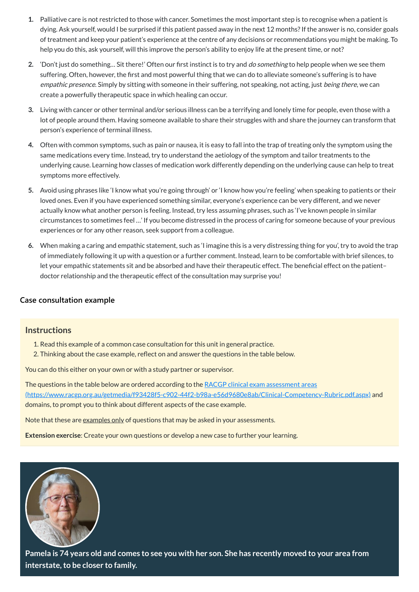- **1.** Palliative care is not restricted to those with cancer. Sometimes the most important step is to recognise when a patient is dying. Ask yourself, would I be surprised if this patient passed away in the next 12 months?If the answer is no, consider goals of treatment and keep your patient's experience at the centre of any decisions or recommendations you might be making. To help you do this, ask yourself, will this improve the person's ability to enjoy life at the present time, or not?
- **2.** 'Don't just do something… Sit there!' Often our first instinct is to try and do something to help people when we see them suffering. Often, however, the first and most powerful thing that we can do to alleviate someone's suffering is to have empathic presence. Simply by sitting with someone in their suffering, not speaking, not acting, just being there, we can create a powerfully therapeutic space in which healing can occur.
- **3.** Living with cancer or other terminal and/or serious illness can be a terrifying and lonely time for people, even those with a lot of people around them. Having someone available to share their struggles with and share the journey can transform that person's experience of terminal illness.
- **4.** Often with common symptoms, such as pain or nausea, it is easy to fall into the trap of treating only the symptom using the same medications every time. Instead, try to understand the aetiology of the symptom and tailor treatments to the underlying cause. Learning how classes of medication work differently depending on the underlying cause can help to treat symptoms more effectively.
- **5.** Avoid using phrases like 'I know what you're going through' or 'I know how you're feeling' when speaking to patients or their loved ones. Even if you have experienced something similar, everyone's experience can be very different, and we never actually know what another person is feeling. Instead, try less assuming phrases, such as 'I've known people in similar circumstances to sometimes feel …' If you become distressed in the process of caring for someone because of your previous experiences or for any other reason, seek support from a colleague.
- **6.** When making a caring and empathic statement, such as 'I imagine this is a very distressing thing for you', try to avoid the trap of immediately following it up with a question or a further comment. Instead, learn to be comfortable with brief silences, to let your empathic statements sit and be absorbed and have their therapeutic effect. The beneficial effect on the patient– doctor relationship and the therapeutic effect of the consultation may surprise you!

The questions in the table below are ordered according to the RACGP clinical exam assessment areas [\(https://www.racgp.org.au/getmedia/f93428f5-c902-44f2-b98a-e56d9680e8ab/Clinical-Competency-Rubric.pdf.aspx\)](https://www.racgp.org.au/getmedia/f93428f5-c902-44f2-b98a-e56d9680e8ab/Clinical-Competency-Rubric.pdf.aspx) and domains, to prompt you to think about different aspects of the case example.

Note that these are examples only of questions that may be asked in your assessments.

#### **[Case consultation example](javascript:void(0))**

#### **Instructions**

- 1. Read this example of a common case consultation for this unit in general practice.
- 2. Thinking about the case example, reflect on and answer the questions in the table below.

You can do this either on your own or with a study partner or supervisor.

**Extension exercise**: Create your own questions or develop a new case to further your learning.



Pamela is 74 years old and comes to see you with her son. She has recently moved to your area from **interstate, to be closer to family.**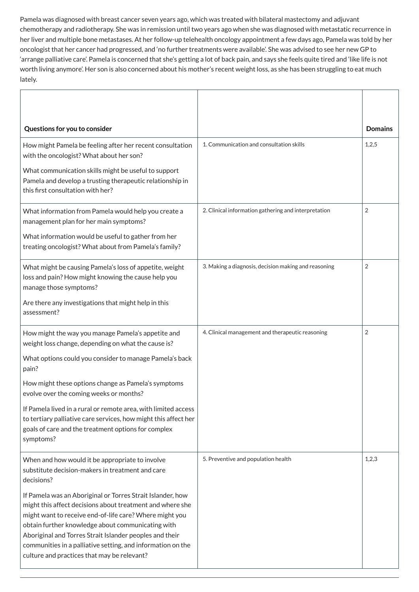Pamela was diagnosed with breast cancer seven years ago, which was treated with bilateral mastectomy and adjuvant chemotherapy and radiotherapy. She was in remission until two years ago when she was diagnosed with metastatic recurrence in her liver and multiple bone metastases. At her follow-up telehealth oncology appointment a few days ago, Pamela was told by her oncologist that her cancer had progressed, and 'no further treatments were available'. She was advised to see her new GP to 'arrange palliative care'. Pamela is concerned that she's getting a lot of back pain, and says she feels quite tired and 'like life is not worth living anymore'. Her son is also concerned about his mother's recent weight loss, as she has been struggling to eat much lately.

| Questions for you to consider                                                                                                                                                                         |                                                      | <b>Domains</b> |
|-------------------------------------------------------------------------------------------------------------------------------------------------------------------------------------------------------|------------------------------------------------------|----------------|
| How might Pamela be feeling after her recent consultation<br>with the oncologist? What about her son?                                                                                                 | 1. Communication and consultation skills             | 1,2,5          |
| What communication skills might be useful to support<br>Pamela and develop a trusting therapeutic relationship in<br>this first consultation with her?                                                |                                                      |                |
| What information from Pamela would help you create a<br>management plan for her main symptoms?                                                                                                        | 2. Clinical information gathering and interpretation | $\overline{2}$ |
| What information would be useful to gather from her<br>treating oncologist? What about from Pamela's family?                                                                                          |                                                      |                |
| What might be causing Pamela's loss of appetite, weight<br>loss and pain? How might knowing the cause help you<br>manage those symptoms?                                                              | 3. Making a diagnosis, decision making and reasoning | $\overline{2}$ |
| Are there any investigations that might help in this<br>assessment?                                                                                                                                   |                                                      |                |
| How might the way you manage Pamela's appetite and<br>weight loss change, depending on what the cause is?                                                                                             | 4. Clinical management and therapeutic reasoning     | $\overline{2}$ |
| What options could you consider to manage Pamela's back<br>pain?                                                                                                                                      |                                                      |                |
| How might these options change as Pamela's symptoms<br>evolve over the coming weeks or months?                                                                                                        |                                                      |                |
| If Pamela lived in a rural or remote area, with limited access<br>to tertiary palliative care services, how might this affect her<br>goals of care and the treatment options for complex<br>symptoms? |                                                      |                |

| When and how would it be appropriate to involve<br>substitute decision-makers in treatment and care<br>decisions?                                                                                                                                                                                                                                                                                                | 5. Preventive and population health | 1,2,3 |
|------------------------------------------------------------------------------------------------------------------------------------------------------------------------------------------------------------------------------------------------------------------------------------------------------------------------------------------------------------------------------------------------------------------|-------------------------------------|-------|
| If Pamela was an Aboriginal or Torres Strait Islander, how<br>might this affect decisions about treatment and where she<br>might want to receive end-of-life care? Where might you<br>obtain further knowledge about communicating with<br>Aboriginal and Torres Strait Islander peoples and their<br>communities in a palliative setting, and information on the<br>culture and practices that may be relevant? |                                     |       |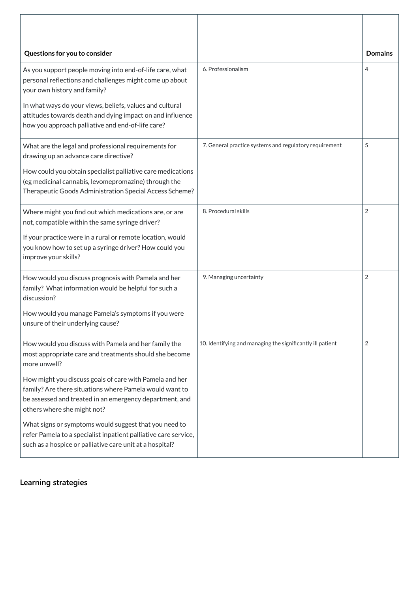| Questions for you to consider                                                                                                                                                                                |                                                            | <b>Domains</b> |
|--------------------------------------------------------------------------------------------------------------------------------------------------------------------------------------------------------------|------------------------------------------------------------|----------------|
| As you support people moving into end-of-life care, what<br>personal reflections and challenges might come up about<br>your own history and family?                                                          | 6. Professionalism                                         | 4              |
| In what ways do your views, beliefs, values and cultural<br>attitudes towards death and dying impact on and influence<br>how you approach palliative and end-of-life care?                                   |                                                            |                |
| What are the legal and professional requirements for<br>drawing up an advance care directive?                                                                                                                | 7. General practice systems and regulatory requirement     | 5              |
| How could you obtain specialist palliative care medications<br>(eg medicinal cannabis, levomepromazine) through the<br>Therapeutic Goods Administration Special Access Scheme?                               |                                                            |                |
| Where might you find out which medications are, or are<br>not, compatible within the same syringe driver?                                                                                                    | 8. Procedural skills                                       | 2              |
| If your practice were in a rural or remote location, would<br>you know how to set up a syringe driver? How could you<br>improve your skills?                                                                 |                                                            |                |
| How would you discuss prognosis with Pamela and her<br>family? What information would be helpful for such a<br>discussion?                                                                                   | 9. Managing uncertainty                                    | $\overline{2}$ |
| How would you manage Pamela's symptoms if you were<br>unsure of their underlying cause?                                                                                                                      |                                                            |                |
| How would you discuss with Pamela and her family the<br>most appropriate care and treatments should she become<br>more unwell?                                                                               | 10. Identifying and managing the significantly ill patient | $\overline{2}$ |
| How might you discuss goals of care with Pamela and her<br>family? Are there situations where Pamela would want to<br>be assessed and treated in an emergency department, and<br>others where she might not? |                                                            |                |
| What signs or symptoms would suggest that you need to<br>refer Pamela to a specialist inpatient palliative care service,<br>such as a hospice or palliative care unit at a hospital?                         |                                                            |                |

**[Learning strategies](javascript:void(0))**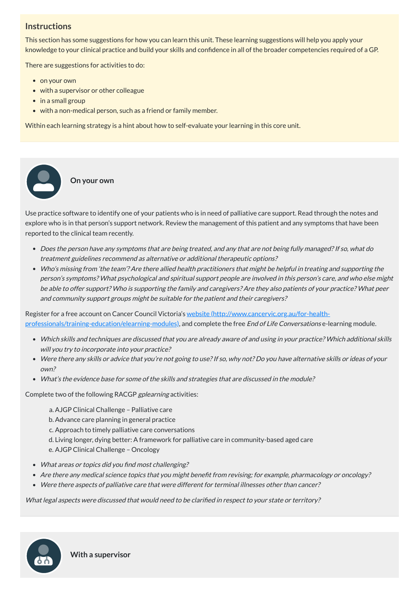### **Instructions**

This section has some suggestions for how you can learn this unit. These learning suggestions will help you apply your knowledge to your clinical practice and build your skills and confidence in all of the broader competencies required of a GP.

There are suggestions for activities to do:

• on your own

 $\bullet$ 

- with a supervisor or other colleague
- in a small group
- with a non-medical person, such as a friend or family member.

- Does the person have any symptoms that are being treated, and any that are not being fully managed?If so, what do treatment guidelines recommend as alternative or additional therapeutic options?
- Who's missing from 'the team'? Are there allied health practitioners that might be helpful in treating and supporting the person's symptoms? What psychological and spiritual support people are involved in this person's care, and who else might be able to offer support? Who is supporting the family and caregivers? Are they also patients of your practice? What peer and community support groups might be suitable for the patient and their caregivers? e practi<br>
blore w<br>
borted t<br>
bortes treat<br>
who pers<br>
be alt<br>
and c<br>
gister fe<br>
be alt<br>
and c<br>
gister fe<br>
whic<br>
whic<br>
whic<br>
whic<br>
wha<br>
wha<br>
mplete<br>
a.<br>
b.<br>
c.<br>
d.<br>
e.<br>
Wha<br>
mplete<br>
a.<br>
b.<br>
c.<br>
wha<br>
mplete<br>
a.<br>
b.<br>
c.<br>
d.<br>
e

Register for a free account on Cancer Council Victoria's website (http://www.cancervic.org.au/for-health[professionals/training-education/elearning-modules\),](http://www.cancervic.org.au/for-health-professionals/training-education/elearning-modules) and complete the free End of Life Conversations e-learning module.

Within each learning strategy is a hint about how to self-evaluate your learning in this core unit.

**On your own**

Use practice software to identify one of your patients who is in need of palliative care support. Read through the notes and explore who is in that person's support network. Review the management of this patient and any symptoms that have been reported to the clinical team recently.

- What areas or topics did you find most challenging?
- Are there any medical science topics that you might benefit from revising; for example, pharmacology or oncology?
- Were there aspects of palliative care that were different for terminal illnesses other than cancer?
- Which skills and techniques are discussed that you are already aware of and using in your practice? Which additional skills will you try to incorporate into your practice?
- Were there any skills or advice that you're not going to use?If so, why not? Do you have alternative skills or ideas of your own?
- What's the evidence base for some of the skills and strategies that are discussed in the module?

Complete two of the following RACGP gplearning activities:

- a. AJGP Clinical Challenge Palliative care
- b. Advance care planning in general practice
- c. Approach to timely palliative care conversations
- d. Living longer, dying better: A framework for palliative care in community-based aged care

#### e. AJGP Clinical Challenge – Oncology

What legal aspects were discussed that would need to be clarified in respect to your state or territory?



**With a supervisor**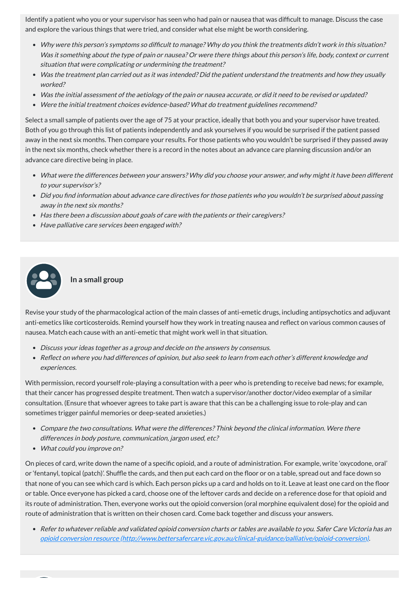Identify a patient who you or your supervisor has seen who had pain or nausea that was difficult to manage. Discuss the case and explore the various things that were tried, and consider what else might be worth considering.

- Why were this person's symptoms so difficult to manage? Why do you think the treatments didn't work in this situation? Was it something about the type of pain or nausea? Or were there things about this person's life, body, context or current situation that were complicating or undermining the treatment?
- Was the treatment plan carried out as it was intended? Did the patient understand the treatments and how they usually worked?
- Was the initial assessment of the aetiology of the pain or nausea accurate, or did it need to be revised or updated?
- Were the initial treatment choices evidence-based? What do treatment guidelines recommend?

- What were the differences between your answers? Why did you choose your answer, and why might it have been different to your supervisor's?
- Did you find information about advance care directives for those patients who you wouldn't be surprised about passing away in the next six months?
- Has there been a discussion about goals of care with the patients or their caregivers?
- Have palliative care services been engaged with?



Select a small sample of patients over the age of 75 at your practice, ideally that both you and your supervisor have treated. Both of you go through this list of patients independently and ask yourselves if you would be surprised if the patient passed away in the next six months. Then compare your results. For those patients who you wouldn't be surprised if they passed away in the next six months, check whether there is a record in the notes about an advance care planning discussion and/or an advance care directive being in place.

#### **In a small group**

Revise your study of the pharmacological action of the main classes of anti-emetic drugs, including antipsychotics and adjuvant anti-emetics like corticosteroids. Remind yourself how they work in treating nausea and reflect on various common causes of nausea. Match each cause with an anti-emetic that might work well in that situation.

- Discuss your ideas together as <sup>a</sup> group and decide on the answers by consensus.
- Reflect on where you had differences of opinion, but also seek to learn from each other's different knowledge and experiences.

With permission, record yourself role-playing a consultation with a peer who is pretending to receive bad news; for example, that their cancer has progressed despite treatment. Then watch a supervisor/another doctor/video exemplar of a similar consultation. (Ensure that whoever agrees to take part is aware that this can be a challenging issue to role-play and can sometimes trigger painful memories or deep-seated anxieties.)

- Compare the two consultations. What were the differences? Think beyond the clinical information. Were there differences in body posture, communication, jargon used, etc?
- What could you improve on?

On pieces of card, write down the name of a specific opioid, and a route of administration. For example, write 'oxycodone, oral' or 'fentanyl, topical (patch)'. Shuffle the cards, and then put each card on the floor or on a table, spread out and face down so that none of you can see which card is which. Each person picks up a card and holds on to it. Leave at least one card on the floor or table. Once everyone has picked a card, choose one of the leftover cards and decide on a reference dose for that opioid and its route of administration. Then, everyone works out the opioid conversion (oral morphine equivalent dose) for the opioid and route of administration that is written on their chosen card. Come back together and discuss your answers.

Refer to whatever reliable and validated opioid conversion charts or tables are available to you. Safer Care Victoria has an opioid conversion resource [\(http://www.bettersafercare.vic.gov.au/clinical-guidance/palliative/opioid-conversion\)](http://www.bettersafercare.vic.gov.au/clinical-guidance/palliative/opioid-conversion).

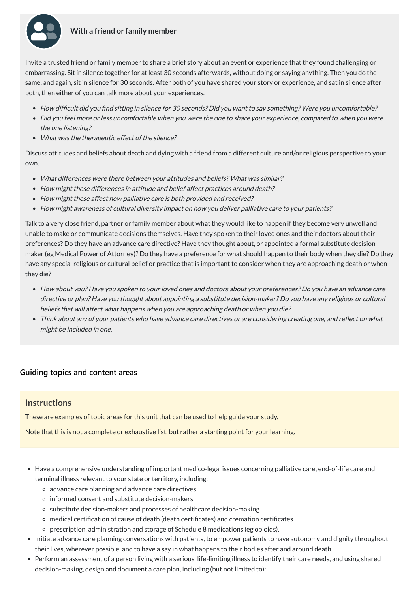

#### **With a friend or family member**

Invite a trusted friend or family member to share a brief story about an event or experience that they found challenging or embarrassing. Sit in silence together for at least 30 seconds afterwards, without doing or saying anything. Then you do the same, and again, sit in silence for 30 seconds. After both of you have shared your story or experience, and sat in silence after both, then either of you can talk more about your experiences.

- How difficult did you find sitting in silence for 30 seconds? Did you want to say something? Were you uncomfortable?
- Did you feel more or less uncomfortable when you were the one to share your experience, compared to when you were the one listening?
- What was the therapeutic effect of the silence?

Discuss attitudes and beliefs about death and dying with a friend from a different culture and/or religious perspective to your own.

- What differences were there between your attitudes and beliefs? What was similar?
- How might these differences in attitude and belief affect practices around death?
- How might these affect how palliative care is both provided and received?
- How might awareness of cultural diversity impact on how you deliver palliative care to your patients?

Talk to a very close friend, partner or family member about what they would like to happen if they become very unwell and unable to make or communicate decisions themselves. Have they spoken to their loved ones and their doctors about their preferences? Do they have an advance care directive? Have they thought about, or appointed a formal substitute decisionmaker (eg Medical Power of Attorney)? Do they have a preference for what should happen to their body when they die? Do they have any special religious or cultural belief or practice that is important to consider when they are approaching death or when they die?

- Note that this is not a complete or exhaustive list, but rather a starting point for your learning.
- Have a comprehensive understanding of important medico-legal issues concerning palliative care, end-of-life care and terminal illness relevant to your state or territory, including:
	- o advance care planning and advance care directives
	- informed consent and substitute decision-makers
	- substitute decision-makers and processes of healthcare decision-making
	- medical certification of cause of death (death certificates) and cremation certificates
	- prescription, administration and storage of Schedule 8 medications (eg opioids).
- Initiate advance care planning conversations with patients, to empower patients to have autonomy and dignity throughout their lives, wherever possible, and to have a say in what happens to their bodies after and around death.
- Perform an assessment of a person living with a serious, life-limiting illness to identify their care needs, and using shared decision-making, design and document a care plan, including (but not limited to):
- How about you? Have you spoken to your loved ones and doctors about your preferences? Do you have an advance care directive or plan? Have you thought about appointing <sup>a</sup> substitute decision-maker? Do you have any religious or cultural beliefs that will affect what happens when you are approaching death or when you die?
- Think about any of your patients who have advance care directives or are considering creating one, and reflect on what might be included in one.

#### **[Guiding topics and content areas](javascript:void(0))**

#### **Instructions**

These are examples of topic areas for this unit that can be used to help guide your study.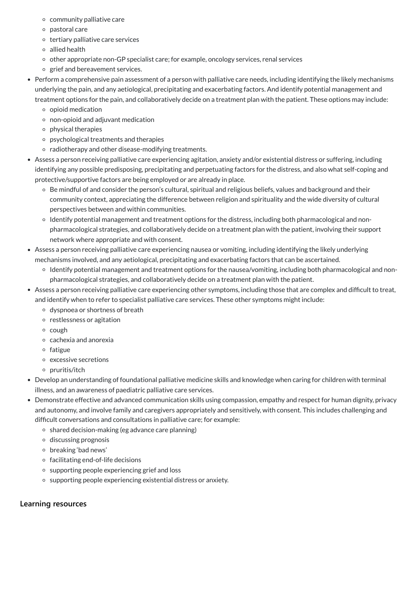- community palliative care
- pastoral care
- $\circ$  tertiary palliative care services
- allied health
- other appropriate non-GP specialist care; for example, oncology services, renal services
- o grief and bereavement services.
- Perform a comprehensive pain assessment of a person with palliative care needs, including identifying the likely mechanisms underlying the pain, and any aetiological, precipitating and exacerbating factors. And identify potential management and treatment options for the pain, and collaboratively decide on a treatment plan with the patient. These options may include:
	- o opioid medication
	- non-opioid and adjuvant medication
	- physical therapies
	- psychological treatments and therapies
	- $\circ$  radiotherapy and other disease-modifying treatments.
- Assess a person receiving palliative care experiencing agitation, anxiety and/or existential distress or suffering, including identifying any possible predisposing, precipitating and perpetuating factors for the distress, and also what self-coping and protective/supportive factors are being employed or are already in place.
	- Be mindful of and consider the person's cultural, spiritual and religious beliefs, values and background and their community context, appreciating the difference between religion and spirituality and the wide diversity of cultural perspectives between and within communities.
	- <sup>o</sup> Identify potential management and treatment options for the distress, including both pharmacological and nonpharmacological strategies, and collaboratively decide on a treatment plan with the patient, involving their support network where appropriate and with consent.
- Assess a person receiving palliative care experiencing nausea or vomiting, including identifying the likely underlying mechanisms involved, and any aetiological, precipitating and exacerbating factors that can be ascertained.
	- Identify potential management and treatment options for the nausea/vomiting, including both pharmacological and nonpharmacological strategies, and collaboratively decide on a treatment plan with the patient.
- Assess a person receiving palliative care experiencing other symptoms, including those that are complex and difficult to treat, and identify when to refer to specialist palliative care services. These other symptoms might include:
	- dyspnoea or shortness of breath
	- o restlessness or agitation
	- o cough
	- $\circ$  cachexia and anorexia
	- $\circ$  fatigue
	- excessive secretions
	- $\circ$  pruritis/itch
- Develop an understanding of foundational palliative medicine skills and knowledge when caring for children with terminal illness, and an awareness of paediatric palliative care services.
- Demonstrate effective and advanced communication skills using compassion, empathy and respect for human dignity, privacy and autonomy, and involve family and caregivers appropriately and sensitively, with consent. This includes challenging and difficult conversations and consultations in palliative care; for example:
	- $\circ$  shared decision-making (eg advance care planning)
	- discussing prognosis
	- breaking 'bad news'
	- $\circ$  facilitating end-of-life decisions
	- supporting people experiencing grief and loss
	- o supporting people experiencing existential distress or anxiety.

**[Learning resources](javascript:void(0))**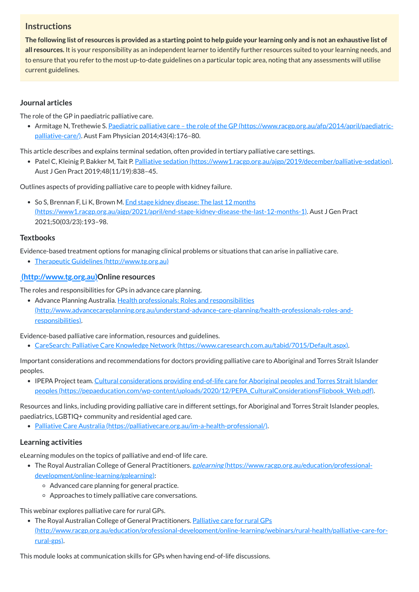## **Instructions**

The following list of resources is provided as a starting point to help guide your learning only and is not an exhaustive list of **all resources.** It is your responsibility as an independent learner to identify further resources suited to your learning needs, and to ensure that you refer to the most up-to-date guidelines on a particular topic area, noting that any assessments will utilise current guidelines.

• Armitage N, Trethewie S. Paediatric palliative care - the role of the GP [\(https://www.racgp.org.au/afp/2014/april/paediatric](https://www.racgp.org.au/afp/2014/april/paediatric-palliative-care/)palliative-care/). Aust Fam Physician 2014;43(4):176–80.

#### **Journal articles**

The role of the GP in paediatric palliative care.

• Patel C, Kleinig P, Bakker M, Tait P. Palliative sedation [\(https://www1.racgp.org.au/ajgp/2019/december/palliative-sedation\).](https://www1.racgp.org.au/ajgp/2019/december/palliative-sedation) Aust J Gen Pract 2019;48(11/19):838–45.

• So S, Brennan F, Li K, Brown M. End stage kidney disease: The last 12 months [\(https://www1.racgp.org.au/ajgp/2021/april/end-stage-kidney-disease-the-last-12-months-1\)](https://www1.racgp.org.au/ajgp/2021/april/end-stage-kidney-disease-the-last-12-months-1). Aust J Gen Pract 2021;50(03/23):193–98.

This article describes and explains terminal sedation, often provided in tertiary palliative care settings.

• Advance Planning Australia. Health professionals: Roles and responsibilities [\(http://www.advancecareplanning.org.au/understand-advance-care-planning/health-professionals-roles-and](http://www.advancecareplanning.org.au/understand-advance-care-planning/health-professionals-roles-and-responsibilities)responsibilities).

Outlines aspects of providing palliative care to people with kidney failure.

• IPEPA Project team. Cultural considerations providing end-of-life care for Aboriginal peoples and Torres Strait Islander peoples [\(https://pepaeducation.com/wp-content/uploads/2020/12/PEPA\\_CulturalConsiderationsFlipbook\\_Web.pdf\).](https://pepaeducation.com/wp-content/uploads/2020/12/PEPA_CulturalConsiderationsFlipbook_Web.pdf)

#### **Textbooks**

Evidence-based treatment options for managing clinical problems or situations that can arise in palliative care.

Therapeutic Guidelines [\(http://www.tg.org.au\)](http://www.tg.org.au/)

#### **[\(http://www.tg.org.au\)O](http://www.tg.org.au/)nline resources**

- The Royal Australian College of General Practitioners. gplearning [\(https://www.racgp.org.au/education/professional](https://www.racgp.org.au/education/professional-development/online-learning/gplearning)development/online-learning/gplearning):
	- Advanced care planning for general practice.
	- Approaches to timely palliative care conversations.

The roles and responsibilities for GPs in advance care planning.

• The Royal Australian College of General Practitioners. Palliative care for rural GPs [\(http://www.racgp.org.au/education/professional-development/online-learning/webinars/rural-health/palliative-care-for](http://www.racgp.org.au/education/professional-development/online-learning/webinars/rural-health/palliative-care-for-rural-gps)rural-gps).

Evidence-based palliative care information, resources and guidelines.

CareSearch: Palliative Care Knowledge Network [\(https://www.caresearch.com.au/tabid/7015/Default.aspx\).](https://www.caresearch.com.au/tabid/7015/Default.aspx)

Important considerations and recommendations for doctors providing palliative care to Aboriginal and Torres Strait Islander peoples.

Resources and links, including providing palliative care in different settings, for Aboriginal and Torres Strait Islander peoples, paediatrics, LGBTIQ+ community and residential aged care.

Palliative Care Australia [\(https://palliativecare.org.au/im-a-health-professional/\).](https://palliativecare.org.au/im-a-health-professional/)

#### **Learning activities**

eLearning modules on the topics of palliative and end-of life care.

This webinar explores palliative care for rural GPs.

This module looks at communication skills for GPs when having end-of-life discussions.